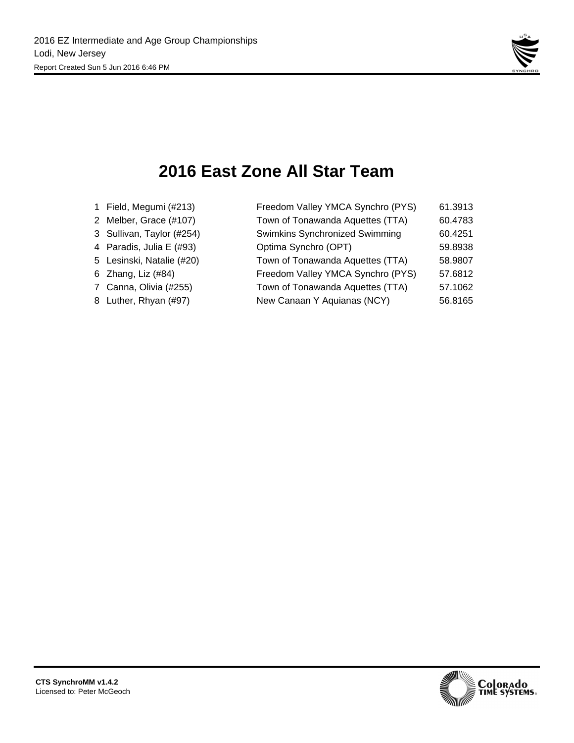

## **2016 East Zone All Star Team**

| 1 Field, Megumi (#213)    | Freedom Valley YMCA Synchro (PYS) | 61.3913 |
|---------------------------|-----------------------------------|---------|
| 2 Melber, Grace (#107)    | Town of Tonawanda Aquettes (TTA)  | 60.4783 |
| 3 Sullivan, Taylor (#254) | Swimkins Synchronized Swimming    | 60.4251 |
| 4 Paradis, Julia E (#93)  | Optima Synchro (OPT)              | 59.8938 |
| 5 Lesinski, Natalie (#20) | Town of Tonawanda Aquettes (TTA)  | 58.9807 |
| 6 Zhang, Liz (#84)        | Freedom Valley YMCA Synchro (PYS) | 57.6812 |
| 7 Canna, Olivia (#255)    | Town of Tonawanda Aquettes (TTA)  | 57.1062 |
| 8 Luther, Rhyan (#97)     | New Canaan Y Aquianas (NCY)       | 56.8165 |
|                           |                                   |         |